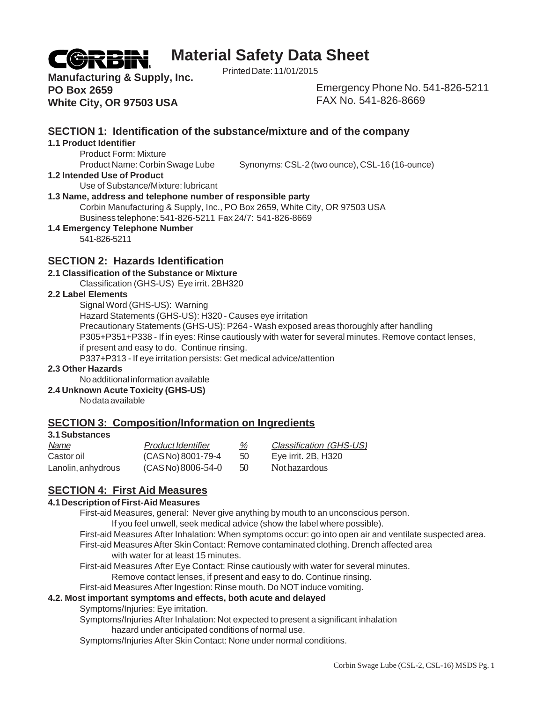

# **Material Safety Data Sheet**

Printed Date: 11/01/2015

**Manufacturing & Supply, Inc. PO Box 2659 White City, OR 97503 USA**

Emergency Phone No. 541-826-5211 FAX No. 541-826-8669

# **SECTION 1: Identification of the substance/mixture and of the company**

#### **1.1 Product Identifier**

Product Form: Mixture

Product Name: Corbin Swage Lube Synonyms: CSL-2 (two ounce), CSL-16 (16-ounce)

#### **1.2 Intended Use of Product**

Use of Substance/Mixture: lubricant

#### **1.3 Name, address and telephone number of responsible party**

Corbin Manufacturing & Supply, Inc., PO Box 2659, White City, OR 97503 USA Business telephone: 541-826-5211 Fax 24/7: 541-826-8669

#### **1.4 Emergency Telephone Number**

541-826-5211

# **SECTION 2: Hazards Identification**

#### **2.1 Classification of the Substance or Mixture**

Classification (GHS-US) Eye irrit. 2BH320

#### **2.2 Label Elements**

Signal Word (GHS-US): Warning

Hazard Statements (GHS-US): H320 - Causes eye irritation

Precautionary Statements (GHS-US): P264 - Wash exposed areas thoroughly after handling

P305+P351+P338 - If in eyes: Rinse cautiously with water for several minutes. Remove contact lenses,

if present and easy to do. Continue rinsing.

P337+P313 - If eye irritation persists: Get medical advice/attention

#### **2.3 Other Hazards**

No additional information available

**2.4 Unknown Acute Toxicity (GHS-US)**

No data available

# **SECTION 3: Composition/Information on Ingredients**

#### **3.1 Substances**

| Name               | <b>Product Identifier</b> | %  | Classification (GHS-US) |
|--------------------|---------------------------|----|-------------------------|
| Castor oil         | (CASNo) 8001-79-4         | 50 | Eye irrit. 2B, H320     |
| Lanolin, anhydrous | $(CAS No) 8006-54-0$      | 50 | Not hazardous           |

# **SECTION 4: First Aid Measures**

#### **4.1 Description of First-Aid Measures**

First-aid Measures, general: Never give anything by mouth to an unconscious person.

If you feel unwell, seek medical advice (show the label where possible).

First-aid Measures After Inhalation: When symptoms occur: go into open air and ventilate suspected area.

First-aid Measures After Skin Contact: Remove contaminated clothing. Drench affected area with water for at least 15 minutes.

First-aid Measures After Eye Contact: Rinse cautiously with water for several minutes.

Remove contact lenses, if present and easy to do. Continue rinsing.

First-aid Measures After Ingestion: Rinse mouth. Do NOT induce vomiting.

#### **4.2. Most important symptoms and effects, both acute and delayed**

Symptoms/Injuries: Eye irritation.

Symptoms/Injuries After Inhalation: Not expected to present a significant inhalation hazard under anticipated conditions of normal use.

Symptoms/Injuries After Skin Contact: None under normal conditions.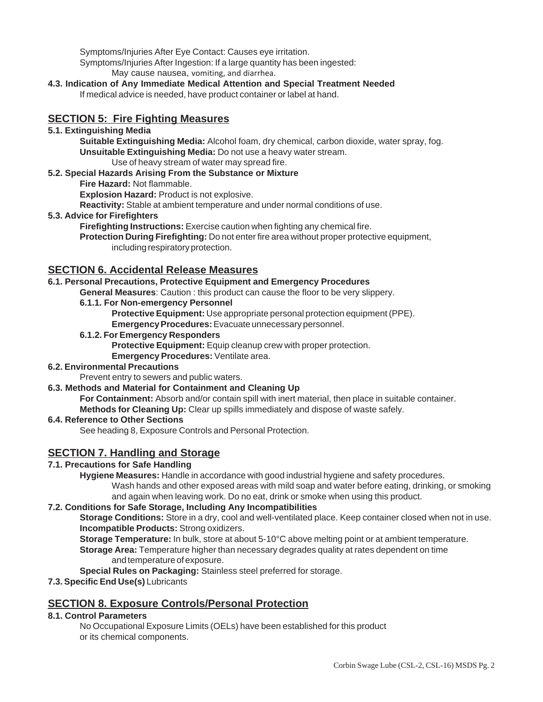Symptoms/Injuries After Eye Contact: Causes eye irritation. Symptoms/Injuries After Ingestion: If a large quantity has been ingested: May cause nausea, vomiting, and diarrhea.

**4.3. Indication of Any Immediate Medical Attention and Special Treatment Needed** If medical advice is needed, have product container or label at hand.

# **SECTION 5: Fire Fighting Measures**

### **5.1. Extinguishing Media**

**Suitable Extinguishing Media:** Alcohol foam, dry chemical, carbon dioxide, water spray, fog. **Unsuitable Extinguishing Media:** Do not use a heavy water stream. Use of heavy stream of water may spread fire.

### **5.2. Special Hazards Arising From the Substance or Mixture**

**Fire Hazard:** Not flammable.

**Explosion Hazard:** Product is not explosive.

**Reactivity:** Stable at ambient temperature and under normal conditions of use.

**5.3. Advice for Firefighters**

**Firefighting Instructions:** Exercise caution when fighting any chemical fire.

**Protection During Firefighting:** Do not enter fire area without proper protective equipment, including respiratory protection.

# **SECTION 6. Accidental Release Measures**

### **6.1. Personal Precautions, Protective Equipment and Emergency Procedures**

**General Measures**: Caution : this product can cause the floor to be very slippery.

**6.1.1. For Non-emergency Personnel**

**Protective Equipment:** Use appropriate personal protection equipment (PPE).

**Emergency Procedures:** Evacuate unnecessary personnel.

#### **6.1.2. For Emergency Responders**

**Protective Equipment:** Equip cleanup crew with proper protection.

**Emergency Procedures:** Ventilate area.

#### **6.2. Environmental Precautions**

Prevent entry to sewers and public waters.

# **6.3. Methods and Material for Containment and Cleaning Up**

**For Containment:** Absorb and/or contain spill with inert material, then place in suitable container. **Methods for Cleaning Up:** Clear up spills immediately and dispose of waste safely.

#### **6.4. Reference to Other Sections**

See heading 8, Exposure Controls and Personal Protection.

# **SECTION 7. Handling and Storage**

# **7.1. Precautions for Safe Handling**

**Hygiene Measures:** Handle in accordance with good industrial hygiene and safety procedures.

Wash hands and other exposed areas with mild soap and water before eating, drinking, or smoking and again when leaving work. Do no eat, drink or smoke when using this product.

#### **7.2. Conditions for Safe Storage, Including Any Incompatibilities**

**Storage Conditions:** Store in a dry, cool and well-ventilated place. Keep container closed when not in use. **Incompatible Products:** Strong oxidizers.

**Storage Temperature:** In bulk, store at about 5-10°C above melting point or at ambient temperature. **Storage Area:** Temperature higher than necessary degrades quality at rates dependent on time and temperature of exposure.

**Special Rules on Packaging:** Stainless steel preferred for storage.

**7.3. Specific End Use(s)** Lubricants

# **SECTION 8. Exposure Controls/Personal Protection**

# **8.1. Control Parameters**

No Occupational Exposure Limits (OELs) have been established for this product or its chemical components.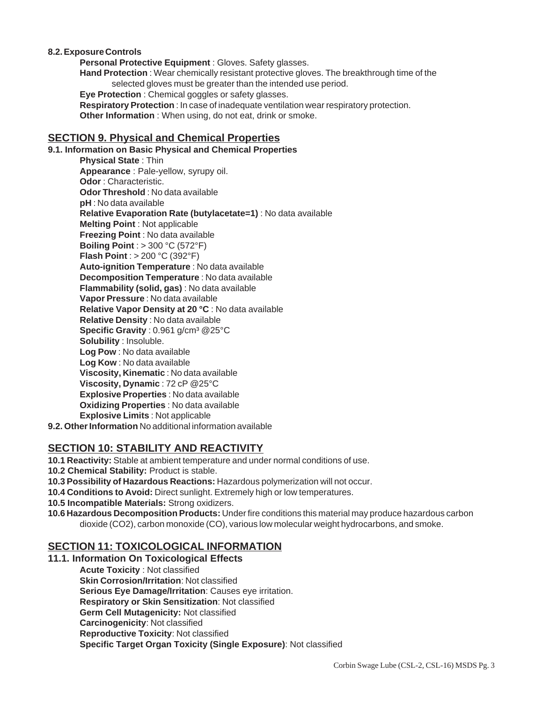#### **8.2. Exposure Controls**

**Personal Protective Equipment** : Gloves. Safety glasses. **Hand Protection** : Wear chemically resistant protective gloves. The breakthrough time of the selected gloves must be greater than the intended use period. **Eye Protection** : Chemical goggles or safety glasses. **Respiratory Protection** : In case of inadequate ventilation wear respiratory protection. **Other Information** : When using, do not eat, drink or smoke.

#### **SECTION 9. Physical and Chemical Properties**

**9.1. Information on Basic Physical and Chemical Properties**

**Physical State** : Thin **Appearance** : Pale-yellow, syrupy oil. **Odor** : Characteristic. **Odor Threshold** : No data available **pH** : No data available **Relative Evaporation Rate (butylacetate=1)** : No data available **Melting Point** : Not applicable **Freezing Point** : No data available **Boiling Point** : > 300 °C (572°F) **Flash Point** : > 200 °C (392°F) **Auto-ignition Temperature** : No data available **Decomposition Temperature** : No data available **Flammability (solid, gas)** : No data available **Vapor Pressure** : No data available **Relative Vapor Density at 20 °C** : No data available **Relative Density** : No data available **Specific Gravity** : 0.961 g/cm³ @25°C **Solubility** : Insoluble. **Log Pow** : No data available **Log Kow** : No data available **Viscosity, Kinematic** : No data available **Viscosity, Dynamic** : 72 cP @25°C **Explosive Properties** : No data available **Oxidizing Properties** : No data available **Explosive Limits** : Not applicable

**9.2. Other Information** No additional information available

# **SECTION 10: STABILITY AND REACTIVITY**

**10.1 Reactivity:** Stable at ambient temperature and under normal conditions of use.

- **10.2 Chemical Stability:** Product is stable.
- **10.3 Possibility of Hazardous Reactions:** Hazardous polymerization will not occur.
- **10.4 Conditions to Avoid:** Direct sunlight. Extremely high or low temperatures.
- **10.5 Incompatible Materials:** Strong oxidizers.
- **10.6 Hazardous Decomposition Products:** Under fire conditions this material may produce hazardous carbon dioxide (CO2), carbon monoxide (CO), various low molecular weight hydrocarbons, and smoke.

### **SECTION 11: TOXICOLOGICAL INFORMATION**

#### **11.1. Information On Toxicological Effects**

**Acute Toxicity** : Not classified **Skin Corrosion/Irritation**: Not classified **Serious Eye Damage/Irritation**: Causes eye irritation. **Respiratory or Skin Sensitization**: Not classified **Germ Cell Mutagenicity:** Not classified **Carcinogenicity**: Not classified **Reproductive Toxicity**: Not classified **Specific Target Organ Toxicity (Single Exposure)**: Not classified